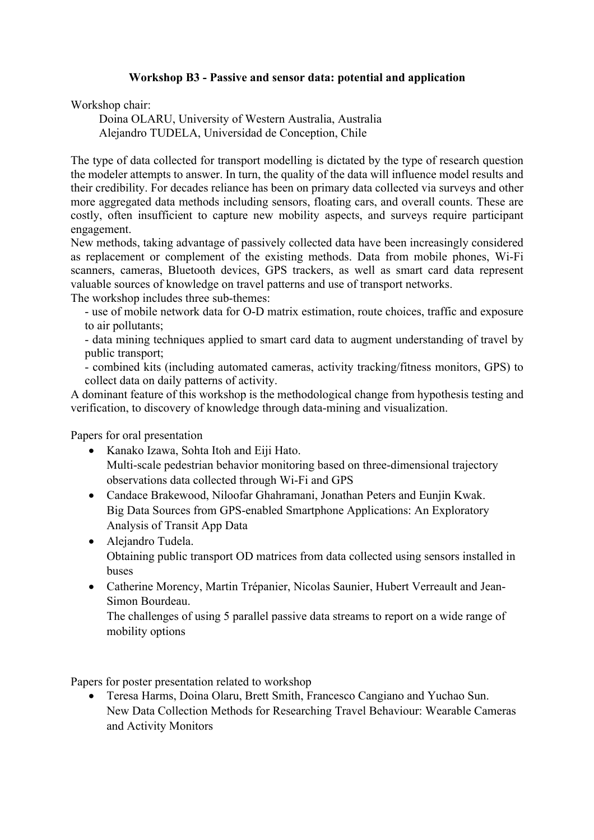## **Workshop B3 - Passive and sensor data: potential and application**

Workshop chair:

Doina OLARU, University of Western Australia, Australia Alejandro TUDELA, Universidad de Conception, Chile

The type of data collected for transport modelling is dictated by the type of research question the modeler attempts to answer. In turn, the quality of the data will influence model results and their credibility. For decades reliance has been on primary data collected via surveys and other more aggregated data methods including sensors, floating cars, and overall counts. These are costly, often insufficient to capture new mobility aspects, and surveys require participant engagement.

New methods, taking advantage of passively collected data have been increasingly considered as replacement or complement of the existing methods. Data from mobile phones, Wi-Fi scanners, cameras, Bluetooth devices, GPS trackers, as well as smart card data represent valuable sources of knowledge on travel patterns and use of transport networks.

The workshop includes three sub-themes:

- use of mobile network data for O-D matrix estimation, route choices, traffic and exposure to air pollutants;

- data mining techniques applied to smart card data to augment understanding of travel by public transport;

- combined kits (including automated cameras, activity tracking/fitness monitors, GPS) to collect data on daily patterns of activity.

A dominant feature of this workshop is the methodological change from hypothesis testing and verification, to discovery of knowledge through data-mining and visualization.

Papers for oral presentation

- Kanako Izawa, Sohta Itoh and Eiji Hato. Multi-scale pedestrian behavior monitoring based on three-dimensional trajectory observations data collected through Wi-Fi and GPS
- Candace Brakewood, Niloofar Ghahramani, Jonathan Peters and Eunjin Kwak. Big Data Sources from GPS-enabled Smartphone Applications: An Exploratory Analysis of Transit App Data
- Alejandro Tudela. Obtaining public transport OD matrices from data collected using sensors installed in buses
- Catherine Morency, Martin Trépanier, Nicolas Saunier, Hubert Verreault and Jean-Simon Bourdeau.

The challenges of using 5 parallel passive data streams to report on a wide range of mobility options

Papers for poster presentation related to workshop

• Teresa Harms, Doina Olaru, Brett Smith, Francesco Cangiano and Yuchao Sun. New Data Collection Methods for Researching Travel Behaviour: Wearable Cameras and Activity Monitors